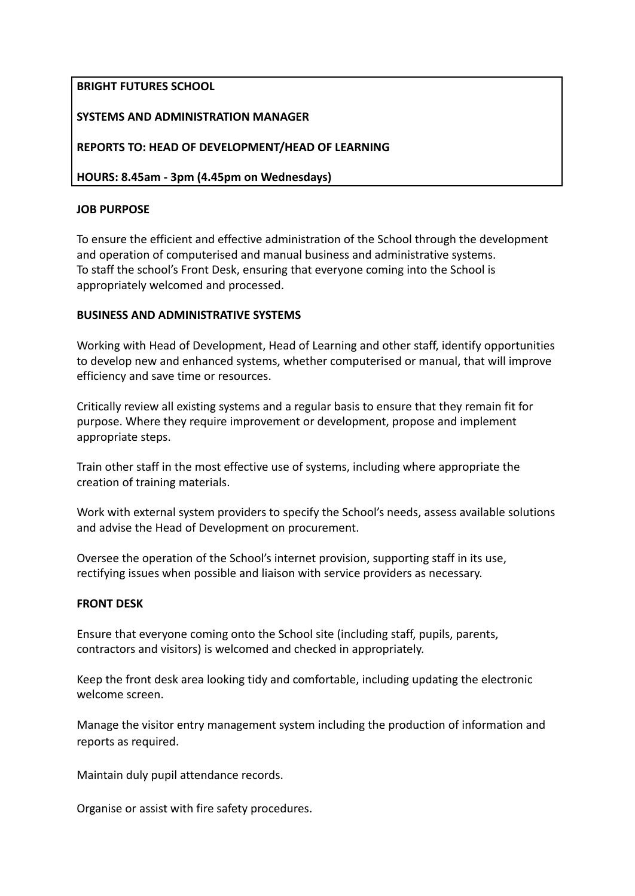# **BRIGHT FUTURES SCHOOL**

## **SYSTEMS AND ADMINISTRATION MANAGER**

## **REPORTS TO: HEAD OF DEVELOPMENT/HEAD OF LEARNING**

**HOURS: 8.45am - 3pm (4.45pm on Wednesdays)**

### **JOB PURPOSE**

To ensure the efficient and effective administration of the School through the development and operation of computerised and manual business and administrative systems. To staff the school's Front Desk, ensuring that everyone coming into the School is appropriately welcomed and processed.

### **BUSINESS AND ADMINISTRATIVE SYSTEMS**

Working with Head of Development, Head of Learning and other staff, identify opportunities to develop new and enhanced systems, whether computerised or manual, that will improve efficiency and save time or resources.

Critically review all existing systems and a regular basis to ensure that they remain fit for purpose. Where they require improvement or development, propose and implement appropriate steps.

Train other staff in the most effective use of systems, including where appropriate the creation of training materials.

Work with external system providers to specify the School's needs, assess available solutions and advise the Head of Development on procurement.

Oversee the operation of the School's internet provision, supporting staff in its use, rectifying issues when possible and liaison with service providers as necessary.

### **FRONT DESK**

Ensure that everyone coming onto the School site (including staff, pupils, parents, contractors and visitors) is welcomed and checked in appropriately.

Keep the front desk area looking tidy and comfortable, including updating the electronic welcome screen.

Manage the visitor entry management system including the production of information and reports as required.

Maintain duly pupil attendance records.

Organise or assist with fire safety procedures.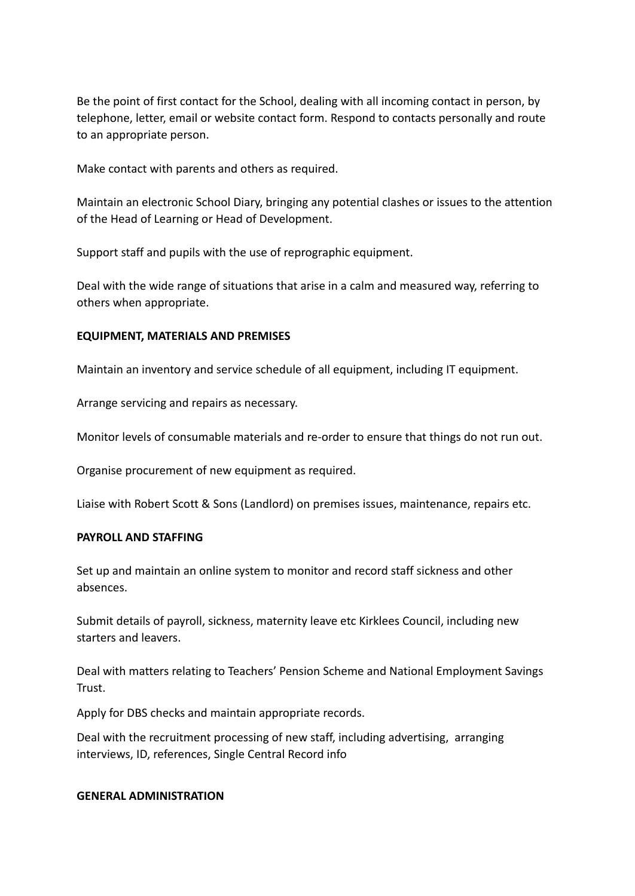Be the point of first contact for the School, dealing with all incoming contact in person, by telephone, letter, email or website contact form. Respond to contacts personally and route to an appropriate person.

Make contact with parents and others as required.

Maintain an electronic School Diary, bringing any potential clashes or issues to the attention of the Head of Learning or Head of Development.

Support staff and pupils with the use of reprographic equipment.

Deal with the wide range of situations that arise in a calm and measured way, referring to others when appropriate.

### **EQUIPMENT, MATERIALS AND PREMISES**

Maintain an inventory and service schedule of all equipment, including IT equipment.

Arrange servicing and repairs as necessary.

Monitor levels of consumable materials and re-order to ensure that things do not run out.

Organise procurement of new equipment as required.

Liaise with Robert Scott & Sons (Landlord) on premises issues, maintenance, repairs etc.

### **PAYROLL AND STAFFING**

Set up and maintain an online system to monitor and record staff sickness and other absences.

Submit details of payroll, sickness, maternity leave etc Kirklees Council, including new starters and leavers.

Deal with matters relating to Teachers' Pension Scheme and National Employment Savings Trust.

Apply for DBS checks and maintain appropriate records.

Deal with the recruitment processing of new staff, including advertising, arranging interviews, ID, references, Single Central Record info

### **GENERAL ADMINISTRATION**